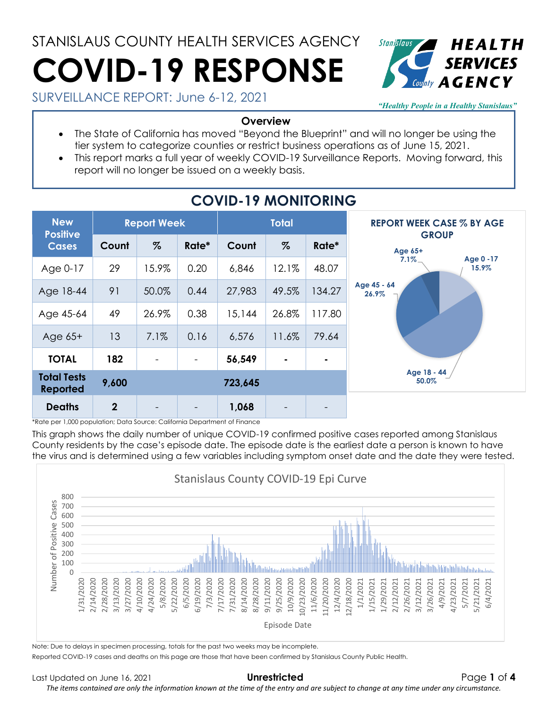# STANISLAUS COUNTY HEALTH SERVICES AGENCY **COVID-19 RESPONSE**



SURVEILLANCE REPORT: June 6-12, 2021

*"Healthy People in a Healthy Stanislaus"*

#### **Overview**

- The State of California has moved "Beyond the Blueprint" and will no longer be using the tier system to categorize counties or restrict business operations as of June 15, 2021.
- This report marks a full year of weekly COVID-19 Surveillance Reports. Moving forward, this report will no longer be issued on a weekly basis.

| <b>New</b><br><b>Positive</b><br><b>Cases</b> | <b>Report Week</b> |                          |                          | <b>Total</b> |                          |                | <b>REPORT WEEK CASE % BY AGE</b> |  |
|-----------------------------------------------|--------------------|--------------------------|--------------------------|--------------|--------------------------|----------------|----------------------------------|--|
|                                               | Count              | $\%$                     | Rate*                    | Count        | $\%$                     | Rate*          | <b>GROUP</b><br>Age 65+          |  |
| Age 0-17                                      | 29                 | 15.9%                    | 0.20                     | 6,846        | 12.1%                    | 48.07          | Age 0 -17<br>$7.1\%$<br>15.9%    |  |
| Age 18-44                                     | 91                 | 50.0%                    | 0.44                     | 27,983       | 49.5%                    | 134.27         | Age 45 - 64<br>26.9%             |  |
| Age 45-64                                     | 49                 | 26.9%                    | 0.38                     | 15,144       | 26.8%                    | 117.80         |                                  |  |
| Age $65+$                                     | 13                 | 7.1%                     | 0.16                     | 6,576        | 11.6%                    | 79.64          |                                  |  |
| <b>TOTAL</b>                                  | 182                | $\overline{\phantom{a}}$ | $\overline{\phantom{a}}$ | 56,549       | $\blacksquare$           | $\blacksquare$ |                                  |  |
| <b>Total Tests</b><br><b>Reported</b>         | 9,600              | 723,645                  |                          |              |                          |                | Age 18 - 44<br>50.0%             |  |
| <b>Deaths</b>                                 | $\overline{2}$     |                          |                          | 1,068        | $\overline{\phantom{a}}$ |                |                                  |  |

## **COVID-19 MONITORING**

\*Rate per 1,000 population; Data Source: California Department of Finance

This graph shows the daily number of unique COVID-19 confirmed positive cases reported among Stanislaus County residents by the case's episode date. The episode date is the earliest date a person is known to have the virus and is determined using a few variables including symptom onset date and the date they were tested.



Note: Due to delays in specimen processing, totals for the past two weeks may be incomplete.

Reported COVID-19 cases and deaths on this page are those that have been confirmed by Stanislaus County Public Health.

*The items contained are only the information known at the time of the entry and are subject to change at any time under any circumstance.*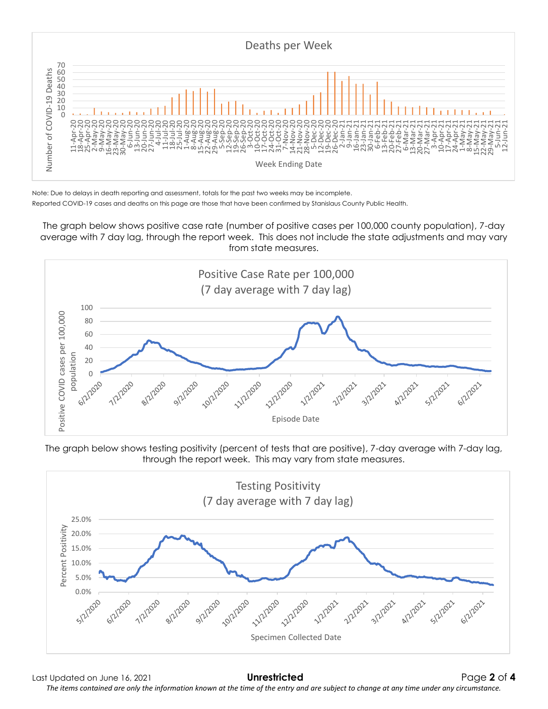

Note: Due to delays in death reporting and assessment, totals for the past two weeks may be incomplete. Reported COVID-19 cases and deaths on this page are those that have been confirmed by Stanislaus County Public Health.

The graph below shows positive case rate (number of positive cases per 100,000 county population), 7-day average with 7 day lag, through the report week. This does not include the state adjustments and may vary from state measures.



The graph below shows testing positivity (percent of tests that are positive), 7-day average with 7-day lag, through the report week. This may vary from state measures.



Last Updated on June 16, 2021 **Unrestricted** Page **2** of **4** *The items contained are only the information known at the time of the entry and are subject to change at any time under any circumstance.*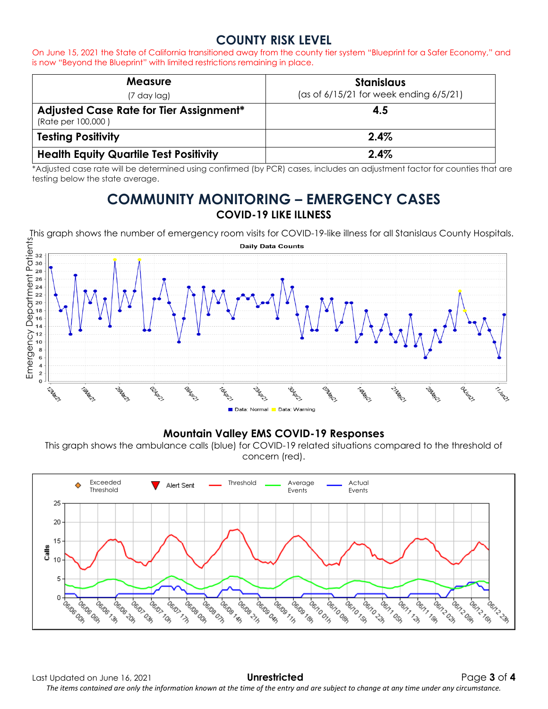### **COUNTY RISK LEVEL**

On June 15, 2021 the State of California transitioned away from the county tier system "Blueprint for a Safer Economy," and is now "Beyond the Blueprint" with limited restrictions remaining in place.

| <b>Measure</b><br>(7 day lag)                                 | <b>Stanislaus</b><br>(as of 6/15/21 for week ending 6/5/21) |
|---------------------------------------------------------------|-------------------------------------------------------------|
| Adjusted Case Rate for Tier Assignment*<br>(Rate per 100,000) | 4.5                                                         |
| <b>Testing Positivity</b>                                     | 2.4%                                                        |
| <b>Health Equity Quartile Test Positivity</b>                 | 2.4%                                                        |

\*Adjusted case rate will be determined using confirmed (by PCR) cases, includes an adjustment factor for counties that are testing below the state average.

### **COMMUNITY MONITORING – EMERGENCY CASES COVID-19 LIKE ILLNESS**



#### **Mountain Valley EMS COVID-19 Responses**

This graph shows the ambulance calls (blue) for COVID-19 related situations compared to the threshold of concern (red).